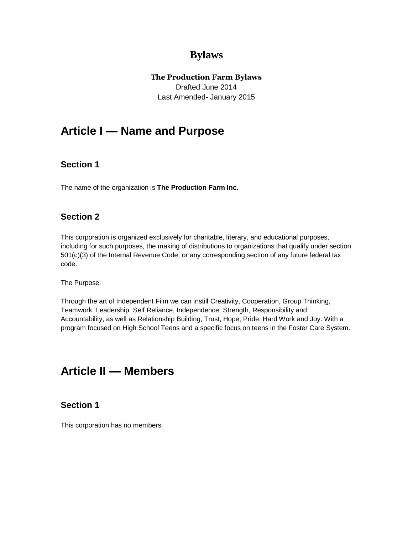# **Bylaws**

### **The Production Farm Bylaws**

Drafted June 2014 Last Amended- January 2015

# **Article I — Name and Purpose**

## **Section 1**

The name of the organization is **The Production Farm Inc.**

## **Section 2**

This corporation is organized exclusively for charitable, literary, and educational purposes, including for such purposes, the making of distributions to organizations that qualify under section 501(c)(3) of the Internal Revenue Code, or any corresponding section of any future federal tax code.

The Purpose:

Through the art of Independent Film we can instill Creativity, Cooperation, Group Thinking, Teamwork, Leadership, Self Reliance, Independence, Strength, Responsibility and Accountability, as well as Relationship Building, Trust, Hope, Pride, Hard Work and Joy. With a program focused on High School Teens and a specific focus on teens in the Foster Care System.

# **Article II — Members**

## **Section 1**

This corporation has no members.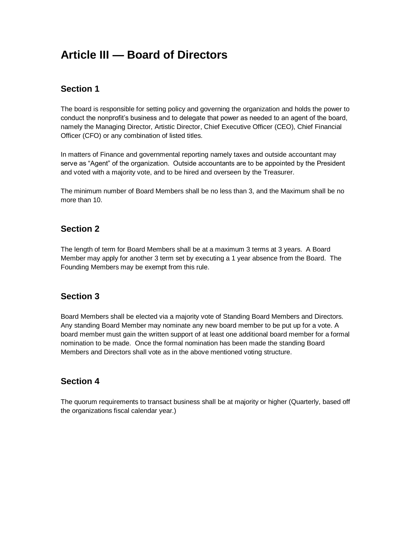# **Article III — Board of Directors**

# **Section 1**

The board is responsible for setting policy and governing the organization and holds the power to conduct the nonprofit's business and to delegate that power as needed to an agent of the board, namely the Managing Director, Artistic Director, Chief Executive Officer (CEO), Chief Financial Officer (CFO) or any combination of listed titles.

In matters of Finance and governmental reporting namely taxes and outside accountant may serve as "Agent" of the organization. Outside accountants are to be appointed by the President and voted with a majority vote, and to be hired and overseen by the Treasurer.

The minimum number of Board Members shall be no less than 3, and the Maximum shall be no more than 10.

# **Section 2**

The length of term for Board Members shall be at a maximum 3 terms at 3 years. A Board Member may apply for another 3 term set by executing a 1 year absence from the Board. The Founding Members may be exempt from this rule.

## **Section 3**

Board Members shall be elected via a majority vote of Standing Board Members and Directors. Any standing Board Member may nominate any new board member to be put up for a vote. A board member must gain the written support of at least one additional board member for a formal nomination to be made. Once the formal nomination has been made the standing Board Members and Directors shall vote as in the above mentioned voting structure.

## **Section 4**

The quorum requirements to transact business shall be at majority or higher (Quarterly, based off the organizations fiscal calendar year.)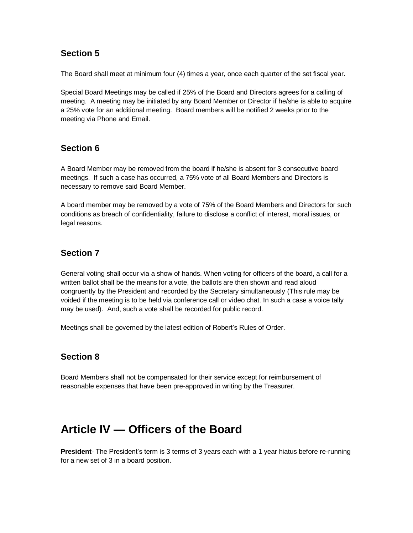## **Section 5**

The Board shall meet at minimum four (4) times a year, once each quarter of the set fiscal year.

Special Board Meetings may be called if 25% of the Board and Directors agrees for a calling of meeting. A meeting may be initiated by any Board Member or Director if he/she is able to acquire a 25% vote for an additional meeting. Board members will be notified 2 weeks prior to the meeting via Phone and Email.

## **Section 6**

A Board Member may be removed from the board if he/she is absent for 3 consecutive board meetings. If such a case has occurred, a 75% vote of all Board Members and Directors is necessary to remove said Board Member.

A board member may be removed by a vote of 75% of the Board Members and Directors for such conditions as breach of confidentiality, failure to disclose a conflict of interest, moral issues, or legal reasons.

# **Section 7**

General voting shall occur via a show of hands. When voting for officers of the board, a call for a written ballot shall be the means for a vote, the ballots are then shown and read aloud congruently by the President and recorded by the Secretary simultaneously (This rule may be voided if the meeting is to be held via conference call or video chat. In such a case a voice tally may be used). And, such a vote shall be recorded for public record.

Meetings shall be governed by the latest edition of Robert's Rules of Order.

# **Section 8**

Board Members shall not be compensated for their service except for reimbursement of reasonable expenses that have been pre-approved in writing by the Treasurer.

# **Article IV — Officers of the Board**

**President**- The President's term is 3 terms of 3 years each with a 1 year hiatus before re-running for a new set of 3 in a board position.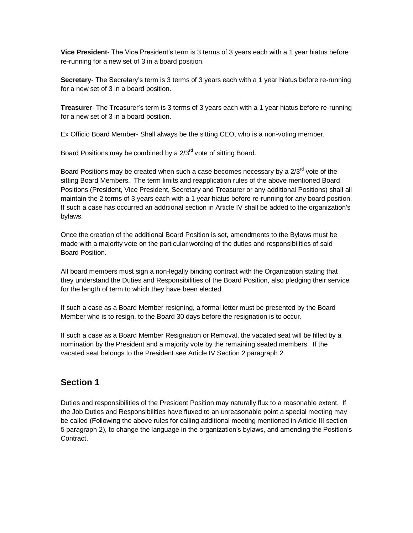**Vice President**- The Vice President's term is 3 terms of 3 years each with a 1 year hiatus before re-running for a new set of 3 in a board position.

**Secretary**- The Secretary's term is 3 terms of 3 years each with a 1 year hiatus before re-running for a new set of 3 in a board position.

**Treasurer**- The Treasurer's term is 3 terms of 3 years each with a 1 year hiatus before re-running for a new set of 3 in a board position.

Ex Officio Board Member- Shall always be the sitting CEO, who is a non-voting member.

Board Positions may be combined by a 2/3<sup>rd</sup> vote of sitting Board.

Board Positions may be created when such a case becomes necessary by a 2/3<sup>rd</sup> vote of the sitting Board Members. The term limits and reapplication rules of the above mentioned Board Positions (President, Vice President, Secretary and Treasurer or any additional Positions) shall all maintain the 2 terms of 3 years each with a 1 year hiatus before re-running for any board position. If such a case has occurred an additional section in Article IV shall be added to the organization's bylaws.

Once the creation of the additional Board Position is set, amendments to the Bylaws must be made with a majority vote on the particular wording of the duties and responsibilities of said Board Position.

All board members must sign a non-legally binding contract with the Organization stating that they understand the Duties and Responsibilities of the Board Position, also pledging their service for the length of term to which they have been elected.

If such a case as a Board Member resigning, a formal letter must be presented by the Board Member who is to resign, to the Board 30 days before the resignation is to occur.

If such a case as a Board Member Resignation or Removal, the vacated seat will be filled by a nomination by the President and a majority vote by the remaining seated members. If the vacated seat belongs to the President see Article IV Section 2 paragraph 2.

# **Section 1**

Duties and responsibilities of the President Position may naturally flux to a reasonable extent. If the Job Duties and Responsibilities have fluxed to an unreasonable point a special meeting may be called (Following the above rules for calling additional meeting mentioned in Article III section 5 paragraph 2), to change the language in the organization's bylaws, and amending the Position's Contract.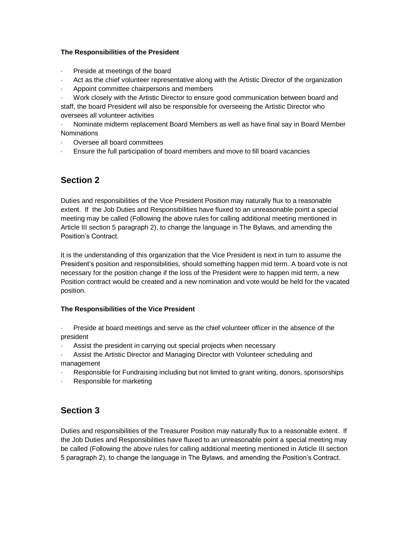### **The Responsibilities of the President**

- Preside at meetings of the board
- · Act as the chief volunteer representative along with the Artistic Director of the organization
- Appoint committee chairpersons and members
- · Work closely with the Artistic Director to ensure good communication between board and

staff, the board President will also be responsible for overseeing the Artistic Director who oversees all volunteer activities

· Nominate midterm replacement Board Members as well as have final say in Board Member **Nominations** 

- · Oversee all board committees
- · Ensure the full participation of board members and move to fill board vacancies

# **Section 2**

Duties and responsibilities of the Vice President Position may naturally flux to a reasonable extent. If the Job Duties and Responsibilities have fluxed to an unreasonable point a special meeting may be called (Following the above rules for calling additional meeting mentioned in Article III section 5 paragraph 2), to change the language in The Bylaws, and amending the Position's Contract.

It is the understanding of this organization that the Vice President is next in turn to assume the President's position and responsibilities, should something happen mid term. A board vote is not necessary for the position change if the loss of the President were to happen mid term, a new Position contract would be created and a new nomination and vote would be held for the vacated position.

### **The Responsibilities of the Vice President**

· Preside at board meetings and serve as the chief volunteer officer in the absence of the president

- Assist the president in carrying out special projects when necessary
- Assist the Artistic Director and Managing Director with Volunteer scheduling and management
- Responsible for Fundraising including but not limited to grant writing, donors, sponsorships
- Responsible for marketing

# **Section 3**

Duties and responsibilities of the Treasurer Position may naturally flux to a reasonable extent. If the Job Duties and Responsibilities have fluxed to an unreasonable point a special meeting may be called (Following the above rules for calling additional meeting mentioned in Article III section 5 paragraph 2), to change the language in The Bylaws, and amending the Position's Contract.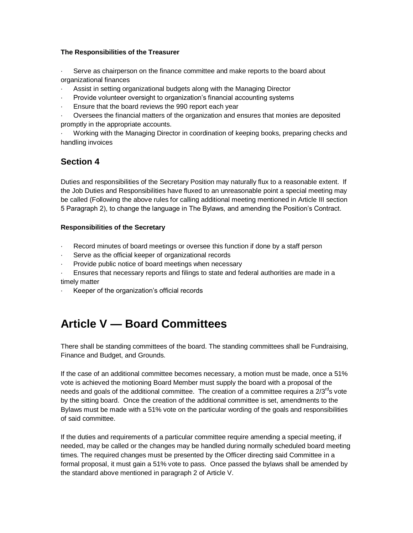### **The Responsibilities of the Treasurer**

Serve as chairperson on the finance committee and make reports to the board about organizational finances

- Assist in setting organizational budgets along with the Managing Director
- · Provide volunteer oversight to organization's financial accounting systems
- Ensure that the board reviews the 990 report each year

· Oversees the financial matters of the organization and ensures that monies are deposited promptly in the appropriate accounts.

· Working with the Managing Director in coordination of keeping books, preparing checks and handling invoices

# **Section 4**

Duties and responsibilities of the Secretary Position may naturally flux to a reasonable extent. If the Job Duties and Responsibilities have fluxed to an unreasonable point a special meeting may be called (Following the above rules for calling additional meeting mentioned in Article III section 5 Paragraph 2), to change the language in The Bylaws, and amending the Position's Contract.

### **Responsibilities of the Secretary**

- Record minutes of board meetings or oversee this function if done by a staff person
- Serve as the official keeper of organizational records
- Provide public notice of board meetings when necessary
- · Ensures that necessary reports and filings to state and federal authorities are made in a timely matter
- Keeper of the organization's official records

# **Article V — Board Committees**

There shall be standing committees of the board. The standing committees shall be Fundraising, Finance and Budget, and Grounds.

If the case of an additional committee becomes necessary, a motion must be made, once a 51% vote is achieved the motioning Board Member must supply the board with a proposal of the needs and goals of the additional committee. The creation of a committee requires a  $2/3^{rd}$ s vote by the sitting board. Once the creation of the additional committee is set, amendments to the Bylaws must be made with a 51% vote on the particular wording of the goals and responsibilities of said committee.

If the duties and requirements of a particular committee require amending a special meeting, if needed, may be called or the changes may be handled during normally scheduled board meeting times. The required changes must be presented by the Officer directing said Committee in a formal proposal, it must gain a 51% vote to pass. Once passed the bylaws shall be amended by the standard above mentioned in paragraph 2 of Article V.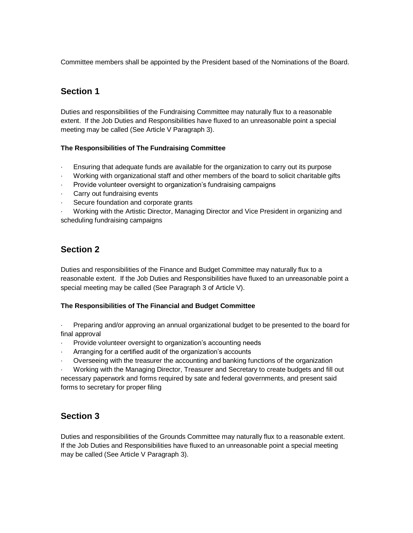Committee members shall be appointed by the President based of the Nominations of the Board.

# **Section 1**

Duties and responsibilities of the Fundraising Committee may naturally flux to a reasonable extent. If the Job Duties and Responsibilities have fluxed to an unreasonable point a special meeting may be called (See Article V Paragraph 3).

### **The Responsibilities of The Fundraising Committee**

- · Ensuring that adequate funds are available for the organization to carry out its purpose
- · Working with organizational staff and other members of the board to solicit charitable gifts
- Provide volunteer oversight to organization's fundraising campaigns
- Carry out fundraising events
- Secure foundation and corporate grants

· Working with the Artistic Director, Managing Director and Vice President in organizing and scheduling fundraising campaigns

# **Section 2**

Duties and responsibilities of the Finance and Budget Committee may naturally flux to a reasonable extent. If the Job Duties and Responsibilities have fluxed to an unreasonable point a special meeting may be called (See Paragraph 3 of Article V).

### **The Responsibilities of The Financial and Budget Committee**

· Preparing and/or approving an annual organizational budget to be presented to the board for final approval

- Provide volunteer oversight to organization's accounting needs
- Arranging for a certified audit of the organization's accounts
- · Overseeing with the treasurer the accounting and banking functions of the organization

· Working with the Managing Director, Treasurer and Secretary to create budgets and fill out necessary paperwork and forms required by sate and federal governments, and present said forms to secretary for proper filing

# **Section 3**

Duties and responsibilities of the Grounds Committee may naturally flux to a reasonable extent. If the Job Duties and Responsibilities have fluxed to an unreasonable point a special meeting may be called (See Article V Paragraph 3).